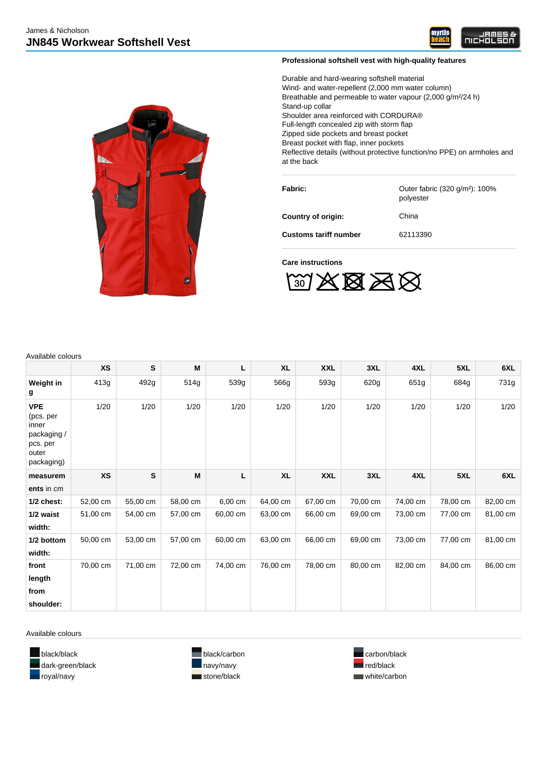



# **Professional softshell vest with high-quality features**

Durable and hard-wearing softshell material Wind- and water-repellent (2,000 mm water column) Breathable and permeable to water vapour (2,000 g/m²/24 h) Stand-up collar Shoulder area reinforced with CORDURA® Full-length concealed zip with storm flap Zipped side pockets and breast pocket Breast pocket with flap, inner pockets Reflective details (without protective function/no PPE) on armholes and at the back

| <b>Fabric:</b>               | Outer fabric (320 g/m <sup>2</sup> ): 100%<br>polyester |
|------------------------------|---------------------------------------------------------|
| Country of origin:           | China                                                   |
| <b>Customs tariff number</b> | 62113390                                                |

#### **Care instructions**



Available colours

|                                                                                    | <b>XS</b> | S         | M        | L        | <b>XL</b> | <b>XXL</b> | 3XL      | 4XL      | 5XL      | 6XL      |
|------------------------------------------------------------------------------------|-----------|-----------|----------|----------|-----------|------------|----------|----------|----------|----------|
| Weight in<br>g                                                                     | 413g      | 492g      | 514g     | 539g     | 566g      | 593g       | 620g     | 651g     | 684g     | 731g     |
| <b>VPE</b><br>(pcs. per<br>inner<br>packaging /<br>pcs. per<br>outer<br>packaging) | 1/20      | 1/20      | 1/20     | 1/20     | 1/20      | 1/20       | 1/20     | 1/20     | 1/20     | 1/20     |
| measurem<br>ents in cm                                                             | <b>XS</b> | ${\bf s}$ | M        | Г        | <b>XL</b> | <b>XXL</b> | 3XL      | 4XL      | 5XL      | 6XL      |
| $1/2$ chest:                                                                       | 52,00 cm  | 55,00 cm  | 58,00 cm | 6,00 cm  | 64,00 cm  | 67,00 cm   | 70,00 cm | 74,00 cm | 78,00 cm | 82,00 cm |
| 1/2 waist<br>width:                                                                | 51,00 cm  | 54,00 cm  | 57,00 cm | 60,00 cm | 63,00 cm  | 66,00 cm   | 69,00 cm | 73,00 cm | 77,00 cm | 81,00 cm |
| 1/2 bottom<br>width:                                                               | 50,00 cm  | 53,00 cm  | 57,00 cm | 60,00 cm | 63,00 cm  | 66,00 cm   | 69,00 cm | 73,00 cm | 77,00 cm | 81,00 cm |
| front<br>length<br>from                                                            | 70,00 cm  | 71,00 cm  | 72,00 cm | 74,00 cm | 76,00 cm  | 78,00 cm   | 80,00 cm | 82,00 cm | 84,00 cm | 86,00 cm |
| shoulder:                                                                          |           |           |          |          |           |            |          |          |          |          |

Available colours